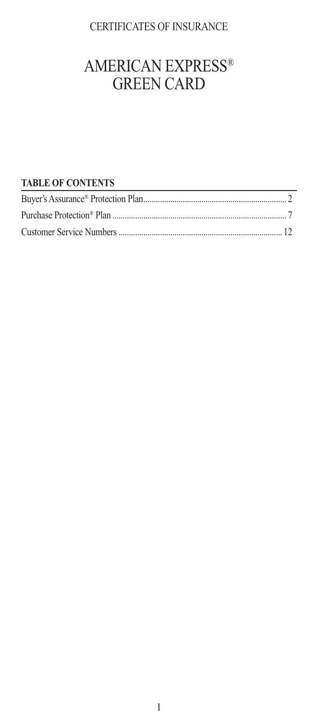## CERTIFICATES OF INSURANCE

## AMERICAN EXPRESS® GREEN CARD

## **TABLE OF CONTENTS**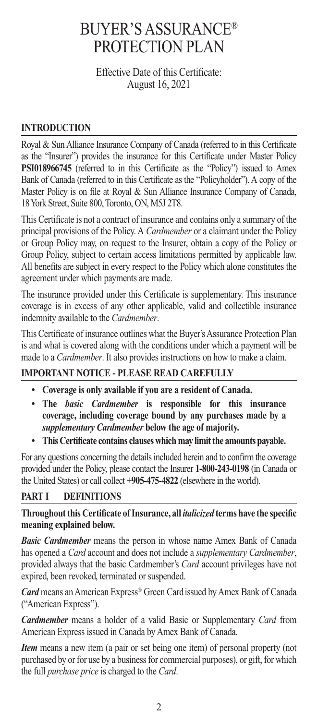## BUYER'S ASSURANCE® PROTECTION PLAN

Effective Date of this Certificate: August 16, 2021

### **INTRODUCTION**

Royal & Sun Alliance Insurance Company of Canada (referred to in this Certificate as the "Insurer") provides the insurance for this Certificate under Master Policy **PSI018966745** (referred to in this Certificate as the "Policy") issued to Amex Bank of Canada (referred to in this Certificate as the "Policyholder"). A copy of the Master Policy is on file at Royal & Sun Alliance Insurance Company of Canada, 18 York Street, Suite 800, Toronto, ON, M5J 2T8.

This Certificate is not a contract of insurance and contains only a summary of the principal provisions of the Policy. A *Cardmember* or a claimant under the Policy or Group Policy may, on request to the Insurer, obtain a copy of the Policy or Group Policy, subject to certain access limitations permitted by applicable law. All benefits are subject in every respect to the Policy which alone constitutes the agreement under which payments are made.

The insurance provided under this Certificate is supplementary. This insurance coverage is in excess of any other applicable, valid and collectible insurance indemnity available to the *Cardmember*.

This Certificate of insurance outlines what the Buyer's Assurance Protection Plan is and what is covered along with the conditions under which a payment will be made to a *Cardmember*. It also provides instructions on how to make a claim.

## **IMPORTANT NOTICE - PLEASE READ CAREFULLY**

- **Coverage is only available if you are a resident of Canada.**
- **The** *basic Cardmember* **is responsible for this insurance coverage, including coverage bound by any purchases made by a**  *supplementary Cardmember* **below the age of majority.**
- **This Certificate contains clauses which may limit the amounts payable.**

For any questions concerning the details included herein and to confirm the coverage provided under the Policy, please contact the Insurer **1-800-243-0198** (in Canada or the United States) or call collect **+905-475-4822** (elsewhere in the world).

## **PART I DEFINITIONS**

#### **Throughout this Certificate of Insurance, all** *italicized* **terms have the specific meaning explained below.**

*Basic Cardmember* means the person in whose name Amex Bank of Canada has opened a *Card* account and does not include a *supplementary Cardmember*, provided always that the basic Cardmember's *Card* account privileges have not expired, been revoked, terminated or suspended.

*Card* means an American Express® Green Cardissued by Amex Bank of Canada ("American Express").

*Cardmember* means a holder of a valid Basic or Supplementary *Card* from American Express issued in Canada by Amex Bank of Canada.

*Item* means a new item (a pair or set being one item) of personal property (not purchased by or for use by a business for commercial purposes), or gift, for which the full *purchase price* is charged to the *Card*.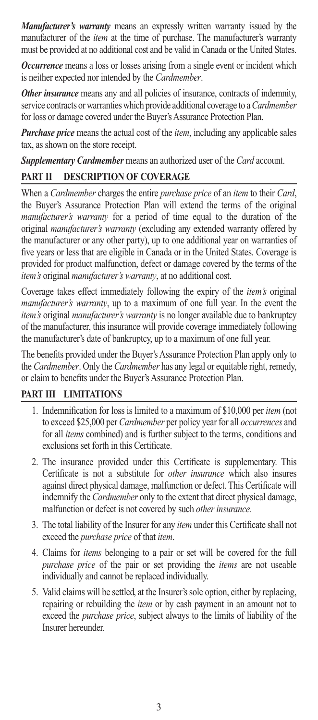*Manufacturer's warranty* means an expressly written warranty issued by the manufacturer of the *item* at the time of purchase. The manufacturer's warranty must be provided at no additional cost and be valid in Canada or the United States.

*Occurrence* means a loss or losses arising from a single event or incident which is neither expected nor intended by the *Cardmember*.

*Other insurance* means any and all policies of insurance, contracts of indemnity, service contracts or warranties which provide additional coverage to a *Cardmember* for loss or damage covered under the Buyer's Assurance Protection Plan.

*Purchase price* means the actual cost of the *item*, including any applicable sales tax, as shown on the store receipt.

*Supplementary Cardmember* means an authorized user of the *Card* account.

## **PART II DESCRIPTION OF COVERAGE**

When a *Cardmember* charges the entire *purchase price* of an *item* to their *Card*, the Buyer's Assurance Protection Plan will extend the terms of the original *manufacturer's warranty* for a period of time equal to the duration of the original *manufacturer's warranty* (excluding any extended warranty offered by the manufacturer or any other party), up to one additional year on warranties of five years or less that are eligible in Canada or in the United States. Coverage is provided for product malfunction, defect or damage covered by the terms of the *item's* original *manufacturer's warranty*, at no additional cost.

Coverage takes effect immediately following the expiry of the *item's* original *manufacturer's warranty*, up to a maximum of one full year. In the event the *item's* original *manufacturer's warranty* is no longer available due to bankruptcy of the manufacturer, this insurance will provide coverage immediately following the manufacturer's date of bankruptcy, up to a maximum of one full year.

The benefits provided under the Buyer's Assurance Protection Plan apply only to the *Cardmember*. Only the *Cardmember* has any legal or equitable right, remedy, or claim to benefits under the Buyer's Assurance Protection Plan.

## **PART III LIMITATIONS**

- 1. Indemnification for loss is limited to a maximum of \$10,000 per *item* (not to exceed \$25,000 per *Cardmember* per policy year for all *occurrences* and for all *items* combined) and is further subject to the terms, conditions and exclusions set forth in this Certificate.
- 2. The insurance provided under this Certificate is supplementary. This Certificate is not a substitute for *other insurance* which also insures against direct physical damage, malfunction or defect. This Certificate will indemnify the *Cardmember* only to the extent that direct physical damage, malfunction or defect is not covered by such *other insurance*.
- 3. The total liability of the Insurer for any *item* under this Certificate shall not exceed the *purchase price* of that *item*.
- 4. Claims for *items* belonging to a pair or set will be covered for the full *purchase price* of the pair or set providing the *items* are not useable individually and cannot be replaced individually.
- 5. Valid claims will be settled, at the Insurer's sole option, either by replacing, repairing or rebuilding the *item* or by cash payment in an amount not to exceed the *purchase price*, subject always to the limits of liability of the Insurer hereunder.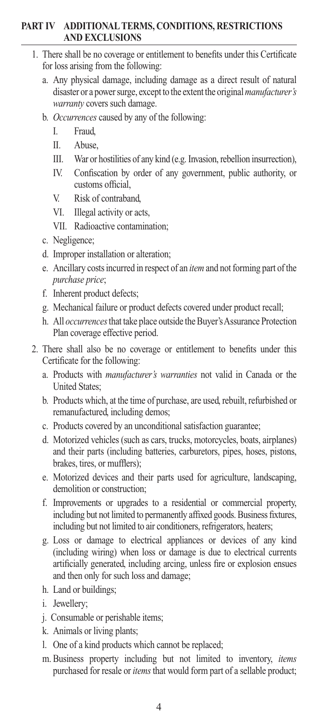#### **PART IV ADDITIONAL TERMS, CONDITIONS, RESTRICTIONS AND EXCLUSIONS**

- 1. There shall be no coverage or entitlement to benefits under this Certificate for loss arising from the following:
	- a. Any physical damage, including damage as a direct result of natural disaster or a power surge, except to the extent the original *manufacturer's warranty* covers such damage.
	- b. *Occurrences* caused by any of the following:
		- I. Fraud,
		- II. Abuse,
		- III. War or hostilities of any kind (e.g. Invasion, rebellion insurrection),
		- IV. Confiscation by order of any government, public authority, or customs official,
		- V. Risk of contraband,
		- VI. Illegal activity or acts,
		- VII. Radioactive contamination;
	- c. Negligence;
	- d. Improper installation or alteration;
	- e. Ancillary costs incurred in respect of an *item* and not forming part of the *purchase price*;
	- f. Inherent product defects;
	- g. Mechanical failure or product defects covered under product recall;
	- h. All *occurrences* that take place outside the Buyer's Assurance Protection Plan coverage effective period.
- 2. There shall also be no coverage or entitlement to benefits under this Certificate for the following:
	- a. Products with *manufacturer's warranties* not valid in Canada or the United States;
	- b. Products which, at the time of purchase, are used, rebuilt, refurbished or remanufactured, including demos;
	- c. Products covered by an unconditional satisfaction guarantee;
	- d. Motorized vehicles (such as cars, trucks, motorcycles, boats, airplanes) and their parts (including batteries, carburetors, pipes, hoses, pistons, brakes, tires, or mufflers);
	- e. Motorized devices and their parts used for agriculture, landscaping, demolition or construction;
	- f. Improvements or upgrades to a residential or commercial property, including but not limited to permanently affixed goods. Business fixtures, including but not limited to air conditioners, refrigerators, heaters;
	- g. Loss or damage to electrical appliances or devices of any kind (including wiring) when loss or damage is due to electrical currents artificially generated, including arcing, unless fire or explosion ensues and then only for such loss and damage;
	- h. Land or buildings;
	- i. Jewellery;
	- j. Consumable or perishable items;
	- k. Animals or living plants;
	- l. One of a kind products which cannot be replaced;
	- m. Business property including but not limited to inventory, *items* purchased for resale or *items* that would form part of a sellable product;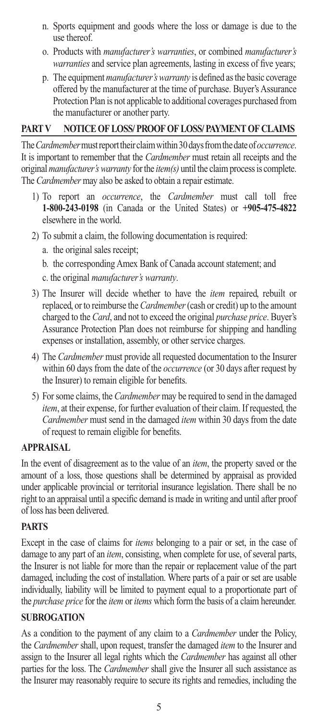- n. Sports equipment and goods where the loss or damage is due to the use thereof.
- o. Products with *manufacturer's warranties*, or combined *manufacturer's warranties* and service plan agreements, lasting in excess of five years;
- p. The equipment *manufacturer's warranty* is defined as the basic coverage offered by the manufacturer at the time of purchase. Buyer's Assurance Protection Plan is not applicable to additional coverages purchased from the manufacturer or another party.

### **PART V NOTICE OF LOSS/ PROOF OF LOSS/ PAYMENT OF CLAIMS**

The *Cardmember* must report their claim within 30 days from the date of *occurrence*. It is important to remember that the *Cardmember* must retain all receipts and the original *manufacturer's warranty* for the *item(s)* until the claim process is complete. The *Cardmember* may also be asked to obtain a repair estimate.

- 1) To report an *occurrence*, the *Cardmember* must call toll free **1-800-243-0198** (in Canada or the United States) or **+905-475-4822** elsewhere in the world.
- 2) To submit a claim, the following documentation is required:
	- a. the original sales receipt;
	- b. the corresponding Amex Bank of Canada account statement; and
	- c. the original *manufacturer's warranty*.
- 3) The Insurer will decide whether to have the *item* repaired, rebuilt or replaced, or to reimburse the *Cardmember* (cash or credit) up to the amount charged to the *Card*, and not to exceed the original *purchase price*. Buyer's Assurance Protection Plan does not reimburse for shipping and handling expenses or installation, assembly, or other service charges.
- 4) The *Cardmember* must provide all requested documentation to the Insurer within 60 days from the date of the *occurrence* (or 30 days after request by the Insurer) to remain eligible for benefits.
- 5) For some claims, the *Cardmember* may be required to send in the damaged *item*, at their expense, for further evaluation of their claim. If requested, the *Cardmember* must send in the damaged *item* within 30 days from the date of request to remain eligible for benefits.

#### **APPRAISAL**

In the event of disagreement as to the value of an *item*, the property saved or the amount of a loss, those questions shall be determined by appraisal as provided under applicable provincial or territorial insurance legislation. There shall be no right to an appraisal until a specific demand is made in writing and until after proof of loss has been delivered.

## **PARTS**

Except in the case of claims for *items* belonging to a pair or set, in the case of damage to any part of an *item*, consisting, when complete for use, of several parts, the Insurer is not liable for more than the repair or replacement value of the part damaged, including the cost of installation. Where parts of a pair or set are usable individually, liability will be limited to payment equal to a proportionate part of the *purchase price* for the *item* or *items* which form the basis of a claim hereunder.

## **SUBROGATION**

As a condition to the payment of any claim to a *Cardmember* under the Policy, the *Cardmember* shall, upon request, transfer the damaged *item* to the Insurer and assign to the Insurer all legal rights which the *Cardmember* has against all other parties for the loss. The *Cardmember* shall give the Insurer all such assistance as the Insurer may reasonably require to secure its rights and remedies, including the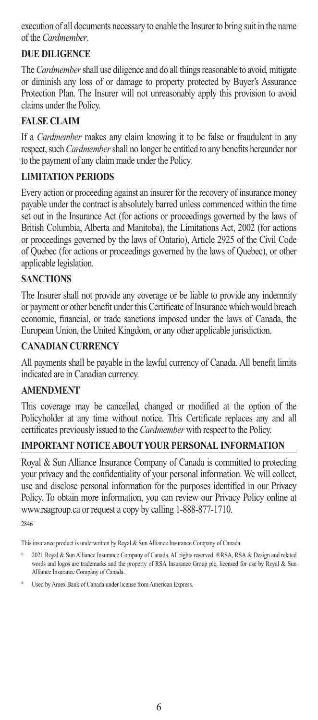execution of all documents necessary to enable the Insurer to bring suit in the name of the *Cardmember*.

## **DUE DILIGENCE**

The *Cardmember* shall use diligence and do all things reasonable to avoid, mitigate or diminish any loss of or damage to property protected by Buyer's Assurance Protection Plan. The Insurer will not unreasonably apply this provision to avoid claims under the Policy.

## **FALSE CLAIM**

If a *Cardmember* makes any claim knowing it to be false or fraudulent in any respect, such *Cardmember* shall no longer be entitled to any benefits hereunder nor to the payment of any claim made under the Policy.

## **LIMITATION PERIODS**

Every action or proceeding against an insurer for the recovery of insurance money payable under the contract is absolutely barred unless commenced within the time set out in the Insurance Act (for actions or proceedings governed by the laws of British Columbia, Alberta and Manitoba), the Limitations Act, 2002 (for actions or proceedings governed by the laws of Ontario), Article 2925 of the Civil Code of Quebec (for actions or proceedings governed by the laws of Quebec), or other applicable legislation.

## **SANCTIONS**

The Insurer shall not provide any coverage or be liable to provide any indemnity or payment or other benefit under this Certificate of Insurance which would breach economic, financial, or trade sanctions imposed under the laws of Canada, the European Union, the United Kingdom, or any other applicable jurisdiction.

## **CANADIAN CURRENCY**

All payments shall be payable in the lawful currency of Canada. All benefit limits indicated are in Canadian currency.

## **AMENDMENT**

This coverage may be cancelled, changed or modified at the option of the Policyholder at any time without notice. This Certificate replaces any and all certificates previously issued to the *Cardmember* with respect to the Policy.

#### **IMPORTANT NOTICE ABOUT YOUR PERSONAL INFORMATION**

Royal & Sun Alliance Insurance Company of Canada is committed to protecting your privacy and the confidentiality of your personal information. We will collect, use and disclose personal information for the purposes identified in our Privacy Policy. To obtain more information, you can review our Privacy Policy online at www.rsagroup.ca or request a copy by calling 1-888-877-1710.

2846

This insurance product is underwritten by Royal & Sun Alliance Insurance Company of Canada.

© 2021 Royal & Sun Alliance Insurance Company of Canada. All rights reserved. ®RSA, RSA & Design and related words and logos are trademarks and the property of RSA Insurance Group plc, licensed for use by Royal & Sun Alliance Insurance Company of Canada.

<sup>®</sup> Used by Amex Bank of Canada under license from American Express.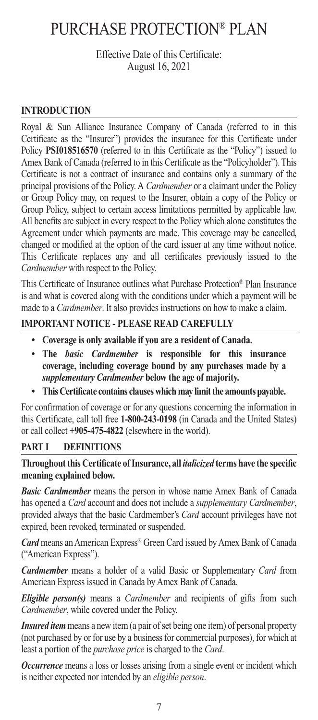## PURCHASE PROTECTION® PLAN

Effective Date of this Certificate: August 16, 2021

### **INTRODUCTION**

Royal & Sun Alliance Insurance Company of Canada (referred to in this Certificate as the "Insurer") provides the insurance for this Certificate under Policy **PSI018516570** (referred to in this Certificate as the "Policy") issued to Amex Bank of Canada (referred to in this Certificate as the "Policyholder"). This Certificate is not a contract of insurance and contains only a summary of the principal provisions of the Policy. A *Cardmember* or a claimant under the Policy or Group Policy may, on request to the Insurer, obtain a copy of the Policy or Group Policy, subject to certain access limitations permitted by applicable law. All benefits are subject in every respect to the Policy which alone constitutes the Agreement under which payments are made. This coverage may be cancelled, changed or modified at the option of the card issuer at any time without notice. This Certificate replaces any and all certificates previously issued to the *Cardmember* with respect to the Policy.

This Certificate of Insurance outlines what Purchase Protection® Plan Insurance is and what is covered along with the conditions under which a payment will be made to a *Cardmember*. It also provides instructions on how to make a claim.

#### **IMPORTANT NOTICE - PLEASE READ CAREFULLY**

- **Coverage is only available if you are a resident of Canada.**
- **The** *basic Cardmember* **is responsible for this insurance coverage, including coverage bound by any purchases made by a**  *supplementary Cardmember* **below the age of majority.**
- **This Certificate contains clauses which may limit the amounts payable.**

For confirmation of coverage or for any questions concerning the information in this Certificate, call toll free **1-800-243-0198** (in Canada and the United States) or call collect **+905-475-4822** (elsewhere in the world).

#### **PART I DEFINITIONS**

#### **Throughout this Certificate of Insurance, all** *italicized* **terms have the specific meaning explained below.**

*Basic Cardmember* means the person in whose name Amex Bank of Canada has opened a *Card* account and does not include a *supplementary Cardmember*, provided always that the basic Cardmember's *Card* account privileges have not expired, been revoked, terminated or suspended.

*Card* means an American Express® Green Card issued by Amex Bank of Canada ("American Express").

*Cardmember* means a holder of a valid Basic or Supplementary *Card* from American Express issued in Canada by Amex Bank of Canada.

*Eligible person(s)* means a *Cardmember* and recipients of gifts from such *Cardmember*, while covered under the Policy.

*Insured item* means a new item (a pair of set being one item) of personal property (not purchased by or for use by a business for commercial purposes), for which at least a portion of the *purchase price* is charged to the *Card*.

*Occurrence* means a loss or losses arising from a single event or incident which is neither expected nor intended by an *eligible person*.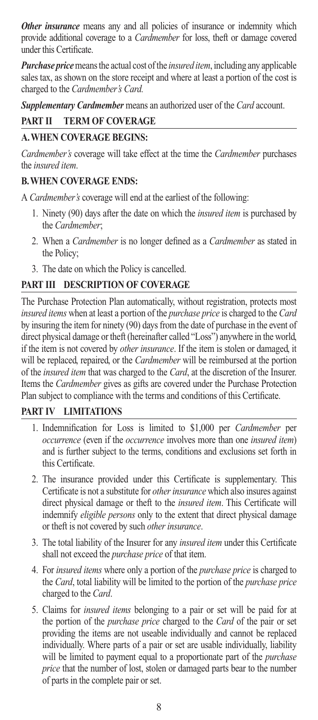*Other insurance* means any and all policies of insurance or indemnity which provide additional coverage to a *Cardmember* for loss, theft or damage covered under this Certificate.

*Purchase price* means the actual cost of the *insured item*, including any applicable sales tax, as shown on the store receipt and where at least a portion of the cost is charged to the *Cardmember's Card.*

*Supplementary Cardmember* means an authorized user of the *Card* account.

## **PART II TERM OF COVERAGE**

## **A. WHEN COVERAGE BEGINS:**

*Cardmember's* coverage will take effect at the time the *Cardmember* purchases the *insured item*.

## **B. WHEN COVERAGE ENDS:**

A *Cardmember's* coverage will end at the earliest of the following:

- 1. Ninety (90) days after the date on which the *insured item* is purchased by the *Cardmember*;
- 2. When a *Cardmember* is no longer defined as a *Cardmember* as stated in the Policy;
- 3. The date on which the Policy is cancelled.

## **PART III DESCRIPTION OF COVERAGE**

The Purchase Protection Plan automatically, without registration, protects most *insured items* when at least a portion of the *purchase price* is charged to the *Card* by insuring the item for ninety (90) days from the date of purchase in the event of direct physical damage or theft (hereinafter called "Loss") anywhere in the world, if the item is not covered by *other insurance*. If the item is stolen or damaged, it will be replaced, repaired, or the *Cardmember* will be reimbursed at the portion of the *insured item* that was charged to the *Card*, at the discretion of the Insurer. Items the *Cardmember* gives as gifts are covered under the Purchase Protection Plan subject to compliance with the terms and conditions of this Certificate.

## **PART IV LIMITATIONS**

- 1. Indemnification for Loss is limited to \$1,000 per *Cardmember* per *occurrence* (even if the *occurrence* involves more than one *insured item*) and is further subject to the terms, conditions and exclusions set forth in this Certificate.
- 2. The insurance provided under this Certificate is supplementary. This Certificate is not a substitute for *other insurance* which also insures against direct physical damage or theft to the *insured item*. This Certificate will indemnify *eligible persons* only to the extent that direct physical damage or theft is not covered by such *other insurance*.
- 3. The total liability of the Insurer for any *insured item* under this Certificate shall not exceed the *purchase price* of that item.
- 4. For *insured items* where only a portion of the *purchase price* is charged to the *Card*, total liability will be limited to the portion of the *purchase price*  charged to the *Card*.
- 5. Claims for *insured items* belonging to a pair or set will be paid for at the portion of the *purchase price* charged to the *Card* of the pair or set providing the items are not useable individually and cannot be replaced individually. Where parts of a pair or set are usable individually, liability will be limited to payment equal to a proportionate part of the *purchase price* that the number of lost, stolen or damaged parts bear to the number of parts in the complete pair or set.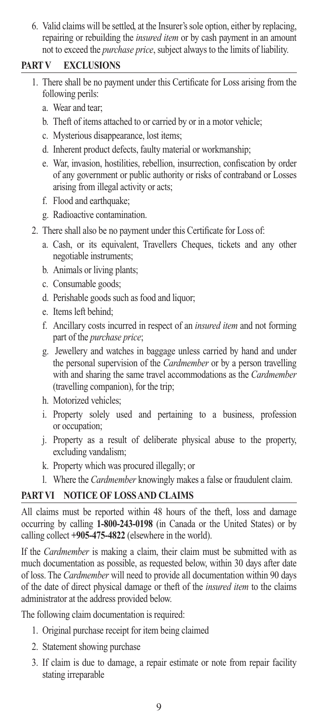6. Valid claims will be settled, at the Insurer's sole option, either by replacing, repairing or rebuilding the *insured item* or by cash payment in an amount not to exceed the *purchase price*, subject always to the limits of liability.

#### **PART V EXCLUSIONS**

- 1. There shall be no payment under this Certificate for Loss arising from the following perils:
	- a. Wear and tear;
	- b. Theft of items attached to or carried by or in a motor vehicle;
	- c. Mysterious disappearance, lost items;
	- d. Inherent product defects, faulty material or workmanship;
	- e. War, invasion, hostilities, rebellion, insurrection, confiscation by order of any government or public authority or risks of contraband or Losses arising from illegal activity or acts;
	- f. Flood and earthquake;
	- g. Radioactive contamination.
- 2. There shall also be no payment under this Certificate for Loss of:
	- a. Cash, or its equivalent, Travellers Cheques, tickets and any other negotiable instruments;
	- b. Animals or living plants;
	- c. Consumable goods;
	- d. Perishable goods such as food and liquor;
	- e. Items left behind;
	- f. Ancillary costs incurred in respect of an *insured item* and not forming part of the *purchase price*;
	- g. Jewellery and watches in baggage unless carried by hand and under the personal supervision of the *Cardmember* or by a person travelling with and sharing the same travel accommodations as the *Cardmember* (travelling companion), for the trip;
	- h. Motorized vehicles;
	- i. Property solely used and pertaining to a business, profession or occupation;
	- j. Property as a result of deliberate physical abuse to the property, excluding vandalism;
	- k. Property which was procured illegally; or
	- l. Where the *Cardmember* knowingly makes a false or fraudulent claim.

## **PART VI NOTICE OF LOSS AND CLAIMS**

All claims must be reported within 48 hours of the theft, loss and damage occurring by calling **1-800-243-0198** (in Canada or the United States) or by calling collect **+905-475-4822** (elsewhere in the world).

If the *Cardmember* is making a claim, their claim must be submitted with as much documentation as possible, as requested below, within 30 days after date of loss. The *Cardmember* will need to provide all documentation within 90 days of the date of direct physical damage or theft of the *insured item* to the claims administrator at the address provided below.

The following claim documentation is required:

- 1. Original purchase receipt for item being claimed
- 2. Statement showing purchase
- 3. If claim is due to damage, a repair estimate or note from repair facility stating irreparable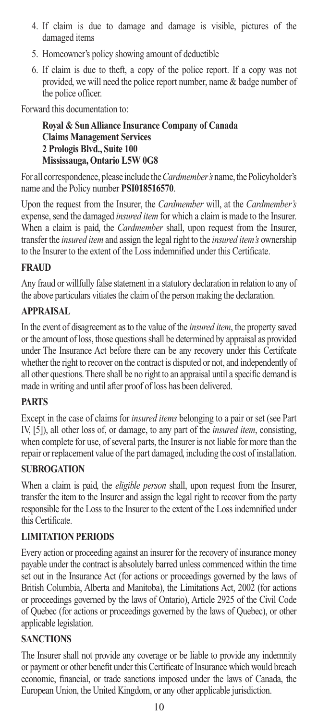- 4. If claim is due to damage and damage is visible, pictures of the damaged items
- 5. Homeowner's policy showing amount of deductible
- 6. If claim is due to theft, a copy of the police report. If a copy was not provided, we will need the police report number, name & badge number of the police officer.

Forward this documentation to:

 **Royal & Sun Alliance Insurance Company of Canada Claims Management Services 2 Prologis Blvd., Suite 100 Mississauga, Ontario L5W 0G8**

For all correspondence, please include the *Cardmember's* name, the Policyholder's name and the Policy number **PSI018516570**.

Upon the request from the Insurer, the *Cardmember* will, at the *Cardmember's* expense, send the damaged *insured item* for which a claim is made to the Insurer. When a claim is paid, the *Cardmember* shall, upon request from the Insurer, transfer the *insured item* and assign the legal right to the *insured item's* ownership to the Insurer to the extent of the Loss indemnified under this Certificate.

#### **FRAUD**

Any fraud or willfully false statement in a statutory declaration in relation to any of the above particulars vitiates the claim of the person making the declaration.

#### **APPRAISAL**

In the event of disagreement as to the value of the *insured item*, the property saved or the amount of loss, those questions shall be determined by appraisal as provided under The Insurance Act before there can be any recovery under this Certifcate whether the right to recover on the contract is disputed or not, and independently of all other questions. There shall be no right to an appraisal until a specific demand is made in writing and until after proof of loss has been delivered.

#### **PARTS**

Except in the case of claims for *insured items* belonging to a pair or set (see Part IV, [5]), all other loss of, or damage, to any part of the *insured item*, consisting, when complete for use, of several parts, the Insurer is not liable for more than the repair or replacement value of the part damaged, including the cost of installation.

#### **SUBROGATION**

When a claim is paid, the *eligible person* shall, upon request from the Insurer, transfer the item to the Insurer and assign the legal right to recover from the party responsible for the Loss to the Insurer to the extent of the Loss indemnified under this Certificate.

#### **LIMITATION PERIODS**

Every action or proceeding against an insurer for the recovery of insurance money payable under the contract is absolutely barred unless commenced within the time set out in the Insurance Act (for actions or proceedings governed by the laws of British Columbia, Alberta and Manitoba), the Limitations Act, 2002 (for actions or proceedings governed by the laws of Ontario), Article 2925 of the Civil Code of Quebec (for actions or proceedings governed by the laws of Quebec), or other applicable legislation.

#### **SANCTIONS**

The Insurer shall not provide any coverage or be liable to provide any indemnity or payment or other benefit under this Certificate of Insurance which would breach economic, financial, or trade sanctions imposed under the laws of Canada, the European Union, the United Kingdom, or any other applicable jurisdiction.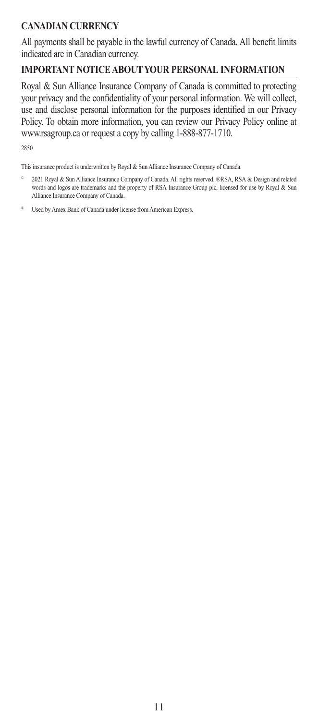## **CANADIAN CURRENCY**

All payments shall be payable in the lawful currency of Canada. All benefit limits indicated are in Canadian currency.

## **IMPORTANT NOTICE ABOUT YOUR PERSONAL INFORMATION**

Royal & Sun Alliance Insurance Company of Canada is committed to protecting your privacy and the confidentiality of your personal information. We will collect, use and disclose personal information for the purposes identified in our Privacy Policy. To obtain more information, you can review our Privacy Policy online at www.rsagroup.ca or request a copy by calling 1-888-877-1710.

2850

This insurance product is underwritten by Royal & Sun Alliance Insurance Company of Canada.

- © 2021 Royal & Sun Alliance Insurance Company of Canada. All rights reserved. ®RSA, RSA & Design and related words and logos are trademarks and the property of RSA Insurance Group plc, licensed for use by Royal & Sun Alliance Insurance Company of Canada.
- Used by Amex Bank of Canada under license from American Express.